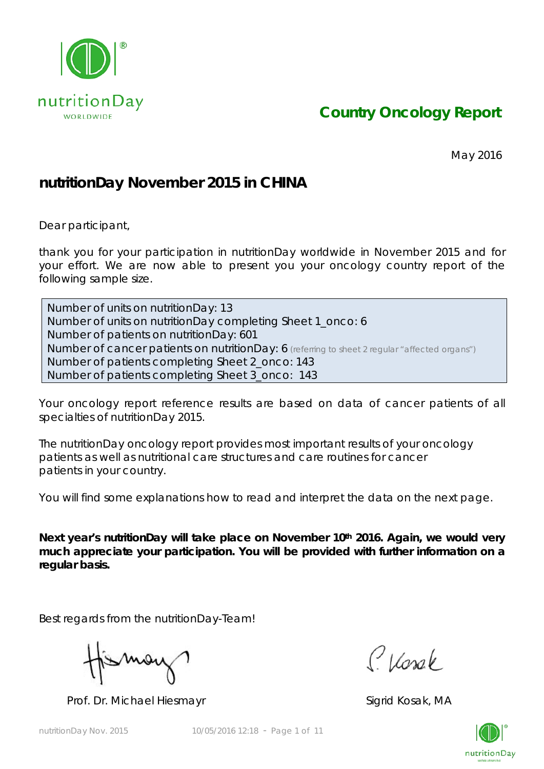

*Country Oncology Report*

May 2016

## **nutritionDay November 2015 in CHINA**

Dear participant,

thank you for your participation in nutritionDay worldwide in November 2015 and for your effort. We are now able to present you your oncology country report of the following sample size.

Number of units on nutritionDay: 13 Number of units on nutritionDay completing Sheet 1\_onco: 6 Number of patients on nutritionDay: 601 Number of cancer patients on nutritionDay: 6 *(referring to sheet 2 regular "affected organs")* Number of patients completing Sheet 2\_onco: 143 Number of patients completing Sheet 3\_onco: 143

Your oncology report reference results are based on data of cancer patients of all specialties of nutritionDay 2015.

The nutritionDay oncology report provides most important results of your oncology patients as well as nutritional care structures and care routines for cancer patients in your country.

You will find some explanations how to read and interpret the data on the next page.

Next year's nutritionDay will take place on November 10<sup>th</sup> 2016. Again, we would very **much appreciate your participation. You will be provided with further information on a regular basis.** 

Best regards from the nutritionDay-Team!

Mov

Prof. Dr. Michael Hiesmayr Sigrid Kosak, MA

Classe

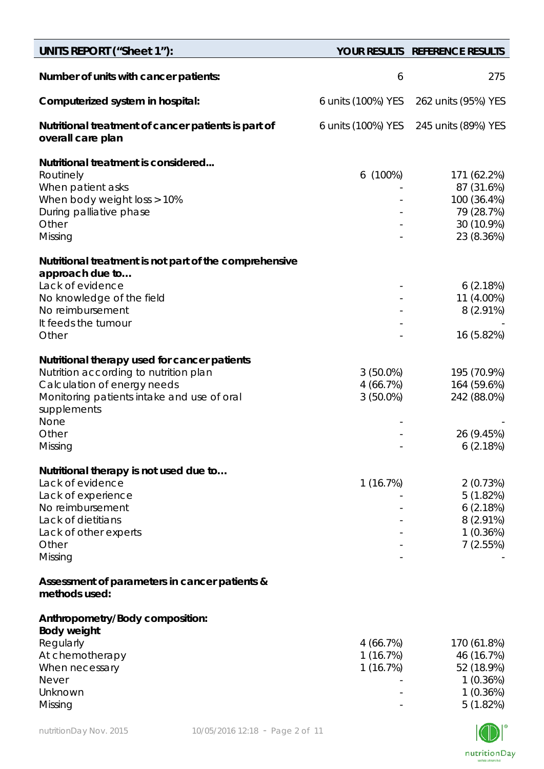| <b>UNITS REPORT ("Sheet 1"):</b>                                                                                                                                                                              |                                        | YOUR RESULTS REFERENCE RESULTS                                                     |
|---------------------------------------------------------------------------------------------------------------------------------------------------------------------------------------------------------------|----------------------------------------|------------------------------------------------------------------------------------|
| Number of units with cancer patients:                                                                                                                                                                         | 6                                      | 275                                                                                |
| Computerized system in hospital:                                                                                                                                                                              | 6 units (100%) YES                     | 262 units (95%) YES                                                                |
| Nutritional treatment of cancer patients is part of<br>overall care plan                                                                                                                                      | 6 units (100%) YES                     | 245 units (89%) YES                                                                |
| Nutritional treatment is considered<br>Routinely<br>When patient asks<br>When body weight loss > 10%<br>During palliative phase<br>Other<br>Missing                                                           | $6(100\%)$                             | 171 (62.2%)<br>87 (31.6%)<br>100 (36.4%)<br>79 (28.7%)<br>30 (10.9%)<br>23 (8.36%) |
| Nutritional treatment is not part of the comprehensive<br>approach due to<br>Lack of evidence<br>No knowledge of the field<br>No reimbursement<br>It feeds the tumour<br>Other                                |                                        | 6(2.18%)<br>11 (4.00%)<br>$8(2.91\%)$<br>16 (5.82%)                                |
| Nutritional therapy used for cancer patients<br>Nutrition according to nutrition plan<br>Calculation of energy needs<br>Monitoring patients intake and use of oral<br>supplements<br>None<br>Other<br>Missing | $3(50.0\%)$<br>4(66.7%)<br>$3(50.0\%)$ | 195 (70.9%)<br>164 (59.6%)<br>242 (88.0%)<br>26 (9.45%)<br>6(2.18%)                |
| Nutritional therapy is not used due to<br>Lack of evidence<br>Lack of experience<br>No reimbursement<br>Lack of dietitians<br>Lack of other experts<br>Other<br>Missing                                       | 1(16.7%)                               | 2(0.73%)<br>5(1.82%)<br>6(2.18%)<br>8 (2.91%)<br>$1(0.36\%)$<br>7(2.55%)           |
| Assessment of parameters in cancer patients &<br>methods used:                                                                                                                                                |                                        |                                                                                    |
| Anthropometry/Body composition:<br><b>Body weight</b><br>Regularly<br>At chemotherapy<br>When necessary<br><b>Never</b><br>Unknown<br>Missing                                                                 | 4 (66.7%)<br>1 (16.7%)<br>1(16.7%)     | 170 (61.8%)<br>46 (16.7%)<br>52 (18.9%)<br>1(0.36%)<br>1(0.36%)<br>5(1.82%)        |

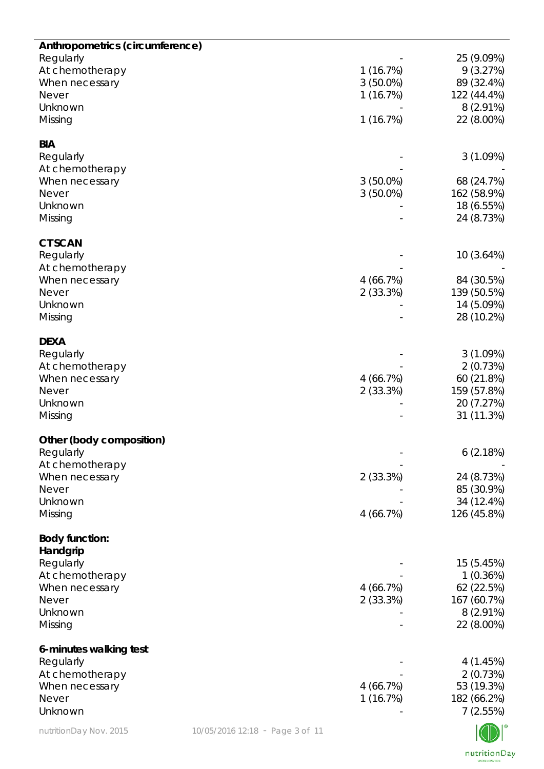| Anthropometrics (circumference)<br>Regularly<br>At chemotherapy<br>When necessary<br><b>Never</b><br>Unknown<br>Missing |                                 | 1(16.7%)<br>$3(50.0\%)$<br>1(16.7%)<br>1(16.7%) | 25 (9.09%)<br>9(3.27%)<br>89 (32.4%)<br>122 (44.4%)<br>$8(2.91\%)$<br>22 (8.00%) |
|-------------------------------------------------------------------------------------------------------------------------|---------------------------------|-------------------------------------------------|----------------------------------------------------------------------------------|
| <b>BIA</b><br>Regularly<br>At chemotherapy<br>When necessary<br><b>Never</b><br>Unknown<br>Missing                      |                                 | $3(50.0\%)$<br>$3(50.0\%)$                      | 3(1.09%)<br>68 (24.7%)<br>162 (58.9%)<br>18 (6.55%)<br>24 (8.73%)                |
| <b>CT SCAN</b><br>Regularly<br>At chemotherapy<br>When necessary<br><b>Never</b><br>Unknown<br>Missing                  |                                 | 4(66.7%)<br>2(33.3%)                            | 10(3.64%)<br>84 (30.5%)<br>139 (50.5%)<br>14 (5.09%)<br>28 (10.2%)               |
| <b>DEXA</b><br>Regularly<br>At chemotherapy<br>When necessary<br><b>Never</b><br>Unknown<br>Missing                     |                                 | 4(66.7%)<br>2(33.3%)                            | 3(1.09%)<br>2(0.73%)<br>60 (21.8%)<br>159 (57.8%)<br>20 (7.27%)<br>31 (11.3%)    |
| Other (body composition)<br>Regularly<br>At chemotherapy<br>When necessary<br><b>Never</b><br>Unknown<br>Missing        |                                 | 2(33.3%)<br>4(66.7%)                            | 6(2.18%)<br>24 (8.73%)<br>85 (30.9%)<br>34 (12.4%)<br>126 (45.8%)                |
| <b>Body function:</b><br>Handgrip<br>Regularly<br>At chemotherapy<br>When necessary<br>Never<br>Unknown<br>Missing      |                                 | 4 (66.7%)<br>2(33.3%)                           | 15 (5.45%)<br>1(0.36%)<br>62 (22.5%)<br>167 (60.7%)<br>$8(2.91\%)$<br>22 (8.00%) |
| 6-minutes walking test<br>Regularly<br>At chemotherapy<br>When necessary<br>Never<br>Unknown                            |                                 | 4(66.7%)<br>1(16.7%)                            | 4 (1.45%)<br>2(0.73%)<br>53 (19.3%)<br>182 (66.2%)<br>7(2.55%)                   |
| nutritionDay Nov. 2015                                                                                                  | 10/05/2016 12:18 - Page 3 of 11 |                                                 |                                                                                  |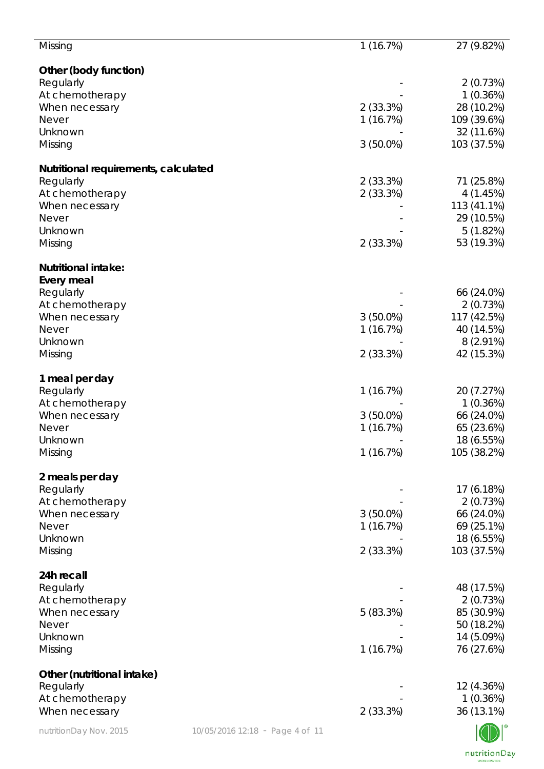| Missing                                                   | 1(16.7%)    | 27 (9.82%)  |
|-----------------------------------------------------------|-------------|-------------|
| Other (body function)                                     |             |             |
| Regularly                                                 |             | 2(0.73%)    |
| At chemotherapy                                           |             | 1(0.36%)    |
| When necessary                                            | 2(33.3%)    | 28 (10.2%)  |
| <b>Never</b>                                              | 1(16.7%)    | 109 (39.6%) |
| Unknown                                                   |             | 32 (11.6%)  |
| Missing                                                   | $3(50.0\%)$ | 103 (37.5%) |
| Nutritional requirements, calculated                      |             |             |
| Regularly                                                 | 2(33.3%)    | 71 (25.8%)  |
| At chemotherapy                                           | 2(33.3%)    | 4(1.45%)    |
| When necessary                                            |             | 113 (41.1%) |
| <b>Never</b>                                              |             | 29 (10.5%)  |
| Unknown                                                   |             | 5(1.82%)    |
| Missing                                                   | 2(33.3%)    | 53 (19.3%)  |
| <b>Nutritional intake:</b>                                |             |             |
| Every meal                                                |             |             |
| Regularly                                                 |             | 66 (24.0%)  |
| At chemotherapy                                           |             | 2(0.73%)    |
| When necessary                                            | $3(50.0\%)$ | 117 (42.5%) |
| <b>Never</b>                                              | 1(16.7%)    | 40 (14.5%)  |
| Unknown                                                   |             | 8 (2.91%)   |
| Missing                                                   | 2(33.3%)    | 42 (15.3%)  |
| 1 meal per day                                            |             |             |
| Regularly                                                 | 1(16.7%)    | 20 (7.27%)  |
| At chemotherapy                                           |             | 1(0.36%)    |
| When necessary                                            | $3(50.0\%)$ | 66 (24.0%)  |
| <b>Never</b>                                              | 1(16.7%)    | 65 (23.6%)  |
| Unknown                                                   |             | 18 (6.55%)  |
| Missing                                                   | 1(16.7%)    | 105 (38.2%) |
| 2 meals per day                                           |             |             |
| Regularly                                                 |             | 17 (6.18%)  |
| At chemotherapy                                           |             | 2(0.73%)    |
| When necessary                                            | $3(50.0\%)$ | 66 (24.0%)  |
| <b>Never</b>                                              | 1(16.7%)    | 69 (25.1%)  |
| Unknown                                                   |             | 18 (6.55%)  |
| Missing                                                   | 2(33.3%)    | 103 (37.5%) |
| 24h recall                                                |             |             |
| Regularly                                                 |             | 48 (17.5%)  |
| At chemotherapy                                           |             | 2(0.73%)    |
| When necessary                                            | 5(83.3%)    | 85 (30.9%)  |
| <b>Never</b>                                              |             | 50 (18.2%)  |
| Unknown                                                   |             | 14 (5.09%)  |
| Missing                                                   | 1(16.7%)    | 76 (27.6%)  |
| Other (nutritional intake)                                |             |             |
| Regularly                                                 |             | 12 (4.36%)  |
| At chemotherapy                                           |             | 1(0.36%)    |
| When necessary                                            | 2(33.3%)    | 36 (13.1%)  |
| nutritionDay Nov. 2015<br>10/05/2016 12:18 - Page 4 of 11 |             |             |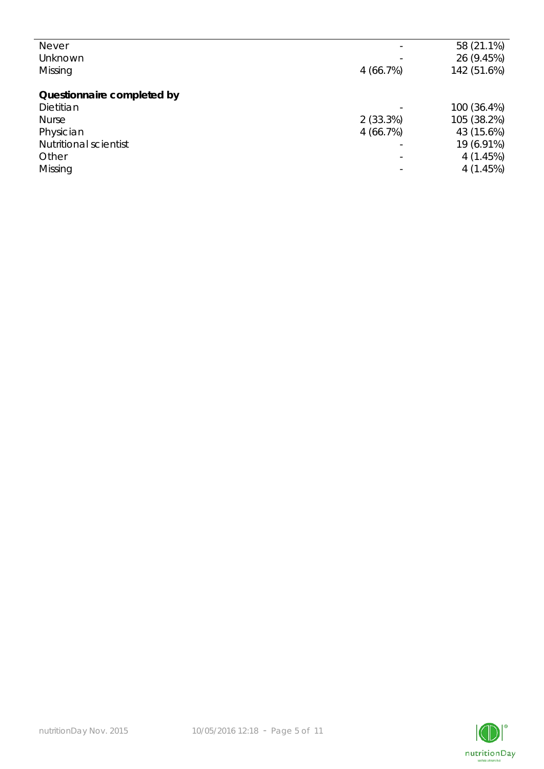| <b>Never</b>                 |                          | 58 (21.1%)  |
|------------------------------|--------------------------|-------------|
| Unknown                      |                          | 26 (9.45%)  |
| Missing                      | 4(66.7%)                 | 142 (51.6%) |
|                              |                          |             |
| Questionnaire completed by   |                          |             |
| Dietitian                    |                          | 100 (36.4%) |
| <b>Nurse</b>                 | 2(33.3%)                 | 105 (38.2%) |
| Physician                    | 4(66.7%)                 | 43 (15.6%)  |
| <b>Nutritional scientist</b> | $\overline{\phantom{0}}$ | 19 (6.91%)  |
| Other                        | ۳                        | 4(1.45%)    |
| Missing                      |                          | 4(1.45%)    |
|                              |                          |             |

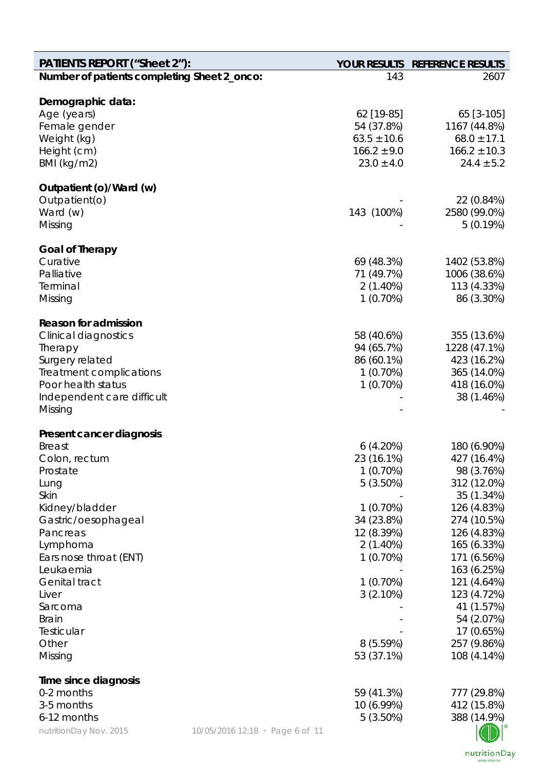| <b>PATIENTS REPORT ("Sheet 2"):</b>         |                                 |                                   | YOUR RESULTS REFERENCE RESULTS     |
|---------------------------------------------|---------------------------------|-----------------------------------|------------------------------------|
| Number of patients completing Sheet 2_onco: |                                 | 143                               | 2607                               |
|                                             |                                 |                                   |                                    |
| Demographic data:                           |                                 |                                   |                                    |
| Age (years)                                 |                                 | 62 [19-85]                        | 65 [3-105]                         |
| Female gender                               |                                 | 54 (37.8%)                        | 1167 (44.8%)                       |
| Weight (kg)                                 |                                 | $63.5 \pm 10.6$                   | $68.0 \pm 17.1$                    |
| Height (cm)<br>BMI (kg/m2)                  |                                 | $166.2 \pm 9.0$<br>$23.0 \pm 4.0$ | $166.2 \pm 10.3$<br>$24.4 \pm 5.2$ |
|                                             |                                 |                                   |                                    |
| Outpatient (o)/Ward (w)                     |                                 |                                   |                                    |
| Outpatient(o)                               |                                 |                                   | 22 (0.84%)                         |
| Ward (w)                                    |                                 | 143 (100%)                        | 2580 (99.0%)                       |
| Missing                                     |                                 |                                   | 5(0.19%)                           |
|                                             |                                 |                                   |                                    |
| <b>Goal of Therapy</b>                      |                                 |                                   |                                    |
| Curative                                    |                                 | 69 (48.3%)                        | 1402 (53.8%)                       |
| Palliative                                  |                                 | 71 (49.7%)                        | 1006 (38.6%)                       |
| Terminal                                    |                                 | $2(1.40\%)$                       | 113 (4.33%)                        |
| Missing                                     |                                 | $1(0.70\%)$                       | 86 (3.30%)                         |
| <b>Reason for admission</b>                 |                                 |                                   |                                    |
| <b>Clinical diagnostics</b>                 |                                 | 58 (40.6%)                        | 355 (13.6%)                        |
| Therapy                                     |                                 | 94 (65.7%)                        | 1228 (47.1%)                       |
| Surgery related                             |                                 | 86 (60.1%)                        | 423 (16.2%)                        |
| Treatment complications                     |                                 | $1(0.70\%)$                       | 365 (14.0%)                        |
| Poor health status                          |                                 | $1(0.70\%)$                       | 418 (16.0%)                        |
| Independent care difficult                  |                                 |                                   | 38 (1.46%)                         |
| Missing                                     |                                 |                                   |                                    |
|                                             |                                 |                                   |                                    |
| Present cancer diagnosis                    |                                 |                                   |                                    |
| <b>Breast</b>                               |                                 | 6(4.20%)                          | 180 (6.90%)                        |
| Colon, rectum                               |                                 | 23 (16.1%)                        | 427 (16.4%)                        |
| Prostate                                    |                                 | 1(0.70%)                          | 98 (3.76%)                         |
| Lung                                        |                                 | 5(3.50%)                          | 312 (12.0%)                        |
| Skin                                        |                                 |                                   | 35 (1.34%)                         |
| Kidney/bladder                              |                                 | 1(0.70%)                          | 126 (4.83%)                        |
| Gastric/oesophageal                         |                                 | 34 (23.8%)                        | 274 (10.5%)                        |
| Pancreas                                    |                                 | 12 (8.39%)                        | 126 (4.83%)                        |
| Lymphoma                                    |                                 | $2(1.40\%)$                       | 165 (6.33%)                        |
| Ears nose throat (ENT)                      |                                 | 1(0.70%)                          | 171 (6.56%)                        |
| Leukaemia<br><b>Genital tract</b>           |                                 |                                   | 163 (6.25%)                        |
|                                             |                                 | $1(0.70\%)$                       | 121 (4.64%)                        |
| Liver                                       |                                 | 3(2.10%)                          | 123 (4.72%)<br>41 (1.57%)          |
| Sarcoma<br><b>Brain</b>                     |                                 |                                   | 54 (2.07%)                         |
| Testicular                                  |                                 |                                   | 17 (0.65%)                         |
| Other                                       |                                 | 8(5.59%)                          | 257 (9.86%)                        |
| Missing                                     |                                 | 53 (37.1%)                        | 108 (4.14%)                        |
|                                             |                                 |                                   |                                    |
| Time since diagnosis                        |                                 |                                   |                                    |
| 0-2 months                                  |                                 | 59 (41.3%)                        | 777 (29.8%)                        |
| 3-5 months                                  |                                 | 10 (6.99%)                        | 412 (15.8%)                        |
| 6-12 months                                 |                                 | 5(3.50%)                          | 388 (14.9%)                        |
| nutritionDay Nov. 2015                      | 10/05/2016 12:18 - Page 6 of 11 |                                   |                                    |

nutritionDay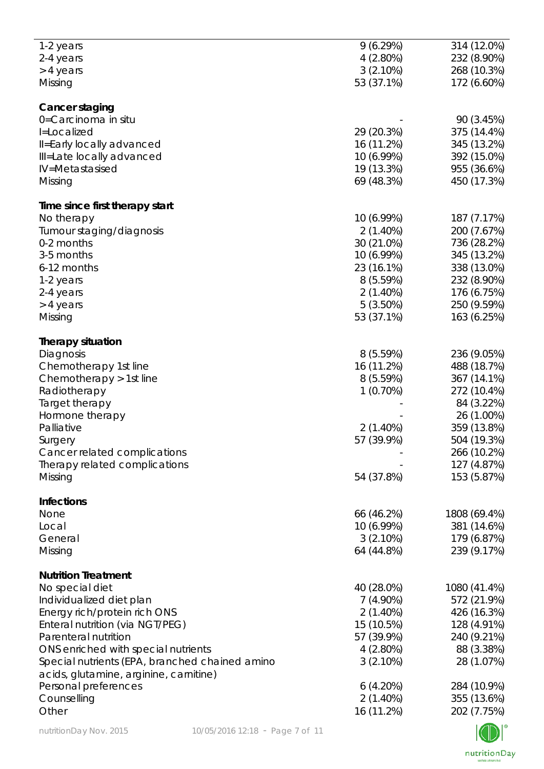| 1-2 years                                      | 9(6.29%)    | 314 (12.0%)  |
|------------------------------------------------|-------------|--------------|
| 2-4 years                                      | $4(2.80\%)$ | 232 (8.90%)  |
|                                                |             |              |
| > 4 years                                      | $3(2.10\%)$ | 268 (10.3%)  |
| Missing                                        | 53 (37.1%)  | 172 (6.60%)  |
|                                                |             |              |
| Cancer staging                                 |             |              |
|                                                |             |              |
| 0=Carcinoma in situ                            |             | 90 (3.45%)   |
| I=Localized                                    | 29 (20.3%)  | 375 (14.4%)  |
| Il=Early locally advanced                      | 16 (11.2%)  | 345 (13.2%)  |
|                                                |             |              |
| Ill=Late locally advanced                      | 10 (6.99%)  | 392 (15.0%)  |
| IV=Metastasised                                | 19 (13.3%)  | 955 (36.6%)  |
| Missing                                        | 69 (48.3%)  | 450 (17.3%)  |
|                                                |             |              |
| Time since first therapy start                 |             |              |
| No therapy                                     | 10 (6.99%)  | 187 (7.17%)  |
|                                                |             |              |
| Tumour staging/diagnosis                       | $2(1.40\%)$ | 200 (7.67%)  |
| 0-2 months                                     | 30 (21.0%)  | 736 (28.2%)  |
| 3-5 months                                     | 10 (6.99%)  | 345 (13.2%)  |
|                                                |             |              |
| 6-12 months                                    | 23 (16.1%)  | 338 (13.0%)  |
| 1-2 years                                      | 8(5.59%)    | 232 (8.90%)  |
| 2-4 years                                      | 2(1.40%)    | 176 (6.75%)  |
|                                                | $5(3.50\%)$ | 250 (9.59%)  |
| > 4 years                                      |             |              |
| Missing                                        | 53 (37.1%)  | 163 (6.25%)  |
|                                                |             |              |
| <b>Therapy situation</b>                       |             |              |
| Diagnosis                                      | 8(5.59%)    | 236 (9.05%)  |
| Chemotherapy 1st line                          | 16 (11.2%)  | 488 (18.7%)  |
| Chemotherapy > 1st line                        | 8(5.59%)    | 367 (14.1%)  |
|                                                |             |              |
| Radiotherapy                                   | 1(0.70%)    | 272 (10.4%)  |
| Target therapy                                 |             | 84 (3.22%)   |
| Hormone therapy                                |             | 26 (1.00%)   |
|                                                |             |              |
| Palliative                                     | $2(1.40\%)$ | 359 (13.8%)  |
| Surgery                                        | 57 (39.9%)  | 504 (19.3%)  |
| Cancer related complications                   |             | 266 (10.2%)  |
|                                                |             |              |
| Therapy related complications                  |             | 127 (4.87%)  |
| Missing                                        | 54 (37.8%)  | 153 (5.87%)  |
|                                                |             |              |
| <b>Infections</b>                              |             |              |
| None                                           | 66 (46.2%)  | 1808 (69.4%) |
| Local                                          | 10 (6.99%)  | 381 (14.6%)  |
| General                                        | $3(2.10\%)$ | 179 (6.87%)  |
|                                                |             |              |
| Missing                                        | 64 (44.8%)  | 239 (9.17%)  |
|                                                |             |              |
| <b>Nutrition Treatment</b>                     |             |              |
| No special diet                                | 40 (28.0%)  | 1080 (41.4%) |
| Individualized diet plan                       | $7(4.90\%)$ | 572 (21.9%)  |
| Energy rich/protein rich ONS                   | $2(1.40\%)$ | 426 (16.3%)  |
|                                                |             |              |
| Enteral nutrition (via NGT/PEG)                | 15 (10.5%)  | 128 (4.91%)  |
| Parenteral nutrition                           | 57 (39.9%)  | 240 (9.21%)  |
| ONS enriched with special nutrients            | $4(2.80\%)$ | 88 (3.38%)   |
|                                                |             |              |
| Special nutrients (EPA, branched chained amino | $3(2.10\%)$ | 28 (1.07%)   |
| acids, glutamine, arginine, carnitine)         |             |              |
| Personal preferences                           | 6(4.20%)    | 284 (10.9%)  |
|                                                |             |              |
| Counselling                                    | $2(1.40\%)$ | 355 (13.6%)  |
| Other                                          | 16 (11.2%)  | 202 (7.75%)  |
|                                                |             |              |

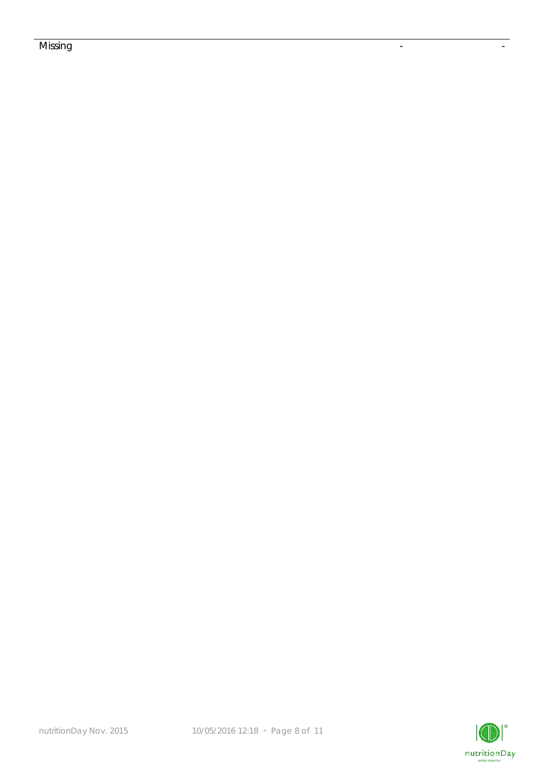## Missing the contract of the contract of the contract of the contract of the contract of the contract of the co

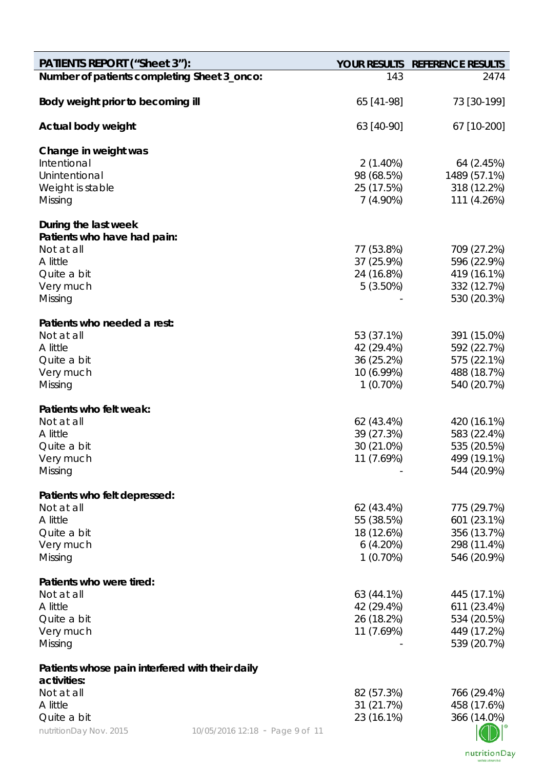| <b>PATIENTS REPORT ("Sheet 3"):</b>                            |                                 |                           | YOUR RESULTS REFERENCE RESULTS |
|----------------------------------------------------------------|---------------------------------|---------------------------|--------------------------------|
| Number of patients completing Sheet 3_onco:                    |                                 | 143                       | 2474                           |
| Body weight prior to becoming ill                              |                                 | 65 [41-98]                | 73 [30-199]                    |
| Actual body weight                                             |                                 | 63 [40-90]                | 67 [10-200]                    |
| Change in weight was                                           |                                 |                           |                                |
| Intentional                                                    |                                 | $2(1.40\%)$               | 64 (2.45%)                     |
| Unintentional                                                  |                                 | 98 (68.5%)                | 1489 (57.1%)                   |
| Weight is stable<br>Missing                                    |                                 | 25 (17.5%)<br>$7(4.90\%)$ | 318 (12.2%)<br>111 (4.26%)     |
|                                                                |                                 |                           |                                |
| During the last week                                           |                                 |                           |                                |
| Patients who have had pain:                                    |                                 |                           |                                |
| Not at all<br>A little                                         |                                 | 77 (53.8%)<br>37 (25.9%)  | 709 (27.2%)<br>596 (22.9%)     |
| Quite a bit                                                    |                                 | 24 (16.8%)                | 419 (16.1%)                    |
| Very much                                                      |                                 | $5(3.50\%)$               | 332 (12.7%)                    |
| Missing                                                        |                                 |                           | 530 (20.3%)                    |
|                                                                |                                 |                           |                                |
| Patients who needed a rest:<br>Not at all                      |                                 | 53 (37.1%)                | 391 (15.0%)                    |
| A little                                                       |                                 | 42 (29.4%)                | 592 (22.7%)                    |
| Quite a bit                                                    |                                 | 36 (25.2%)                | 575 (22.1%)                    |
| Very much                                                      |                                 | 10 (6.99%)                | 488 (18.7%)                    |
| Missing                                                        |                                 | $1(0.70\%)$               | 540 (20.7%)                    |
| Patients who felt weak:                                        |                                 |                           |                                |
| Not at all                                                     |                                 | 62 (43.4%)                | 420 (16.1%)                    |
| A little                                                       |                                 | 39 (27.3%)                | 583 (22.4%)                    |
| Quite a bit                                                    |                                 | 30 (21.0%)                | 535 (20.5%)                    |
| Very much                                                      |                                 | 11 (7.69%)                | 499 (19.1%)                    |
| Missing                                                        |                                 |                           | 544 (20.9%)                    |
| Patients who felt depressed:                                   |                                 |                           |                                |
| Not at all                                                     |                                 | 62 (43.4%)                | 775 (29.7%)                    |
| A little                                                       |                                 | 55 (38.5%)                | 601 (23.1%)                    |
| Quite a bit<br>Very much                                       |                                 | 18 (12.6%)<br>6(4.20%)    | 356 (13.7%)<br>298 (11.4%)     |
| Missing                                                        |                                 | 1(0.70%)                  | 546 (20.9%)                    |
|                                                                |                                 |                           |                                |
| Patients who were tired:                                       |                                 |                           |                                |
| Not at all                                                     |                                 | 63 (44.1%)                | 445 (17.1%)                    |
| A little<br>Quite a bit                                        |                                 | 42 (29.4%)                | 611 (23.4%)                    |
| Very much                                                      |                                 | 26 (18.2%)<br>11 (7.69%)  | 534 (20.5%)<br>449 (17.2%)     |
| Missing                                                        |                                 |                           | 539 (20.7%)                    |
|                                                                |                                 |                           |                                |
| Patients whose pain interfered with their daily<br>activities: |                                 |                           |                                |
| Not at all                                                     |                                 | 82 (57.3%)                | 766 (29.4%)                    |
| A little                                                       |                                 | 31 (21.7%)                | 458 (17.6%)                    |
| Quite a bit                                                    |                                 | 23 (16.1%)                | 366 (14.0%)                    |
| nutritionDay Nov. 2015                                         | 10/05/2016 12:18 - Page 9 of 11 |                           |                                |

nutritionDay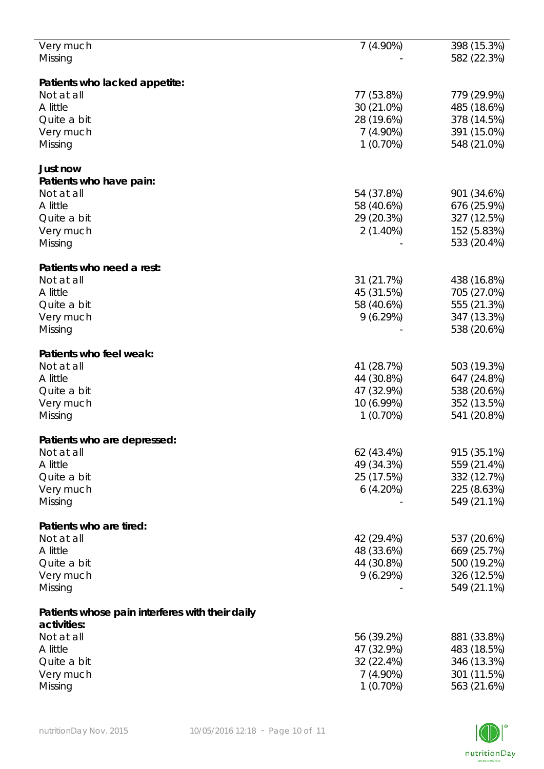| Very much                                       | 7(4.90%)    | 398 (15.3%) |
|-------------------------------------------------|-------------|-------------|
| Missing                                         |             | 582 (22.3%) |
|                                                 |             |             |
|                                                 |             |             |
| Patients who lacked appetite:                   |             |             |
| Not at all                                      | 77 (53.8%)  | 779 (29.9%) |
| A little                                        | 30 (21.0%)  | 485 (18.6%) |
| Quite a bit                                     | 28 (19.6%)  | 378 (14.5%) |
| Very much                                       | $7(4.90\%)$ | 391 (15.0%) |
| Missing                                         | $1(0.70\%)$ | 548 (21.0%) |
|                                                 |             |             |
|                                                 |             |             |
| Just now                                        |             |             |
| Patients who have pain:                         |             |             |
| Not at all                                      | 54 (37.8%)  | 901 (34.6%) |
| A little                                        | 58 (40.6%)  | 676 (25.9%) |
| Quite a bit                                     | 29 (20.3%)  | 327 (12.5%) |
|                                                 |             |             |
| Very much                                       | $2(1.40\%)$ | 152 (5.83%) |
| Missing                                         |             | 533 (20.4%) |
|                                                 |             |             |
| Patients who need a rest:                       |             |             |
| Not at all                                      | 31 (21.7%)  | 438 (16.8%) |
| A little                                        | 45 (31.5%)  | 705 (27.0%) |
|                                                 |             |             |
| Quite a bit                                     | 58 (40.6%)  | 555 (21.3%) |
| Very much                                       | 9(6.29%)    | 347 (13.3%) |
| Missing                                         |             | 538 (20.6%) |
|                                                 |             |             |
| Patients who feel weak:                         |             |             |
| Not at all                                      | 41 (28.7%)  | 503 (19.3%) |
|                                                 |             |             |
| A little                                        | 44 (30.8%)  | 647 (24.8%) |
| Quite a bit                                     | 47 (32.9%)  | 538 (20.6%) |
| Very much                                       | 10 (6.99%)  | 352 (13.5%) |
| Missing                                         | $1(0.70\%)$ | 541 (20.8%) |
|                                                 |             |             |
| Patients who are depressed:                     |             |             |
|                                                 |             |             |
| Not at all                                      | 62 (43.4%)  | 915 (35.1%) |
| A little                                        | 49 (34.3%)  | 559 (21.4%) |
| Quite a bit                                     | 25 (17.5%)  | 332 (12.7%) |
| Very much                                       | 6(4.20%)    | 225 (8.63%) |
| Missing                                         |             | 549 (21.1%) |
|                                                 |             |             |
|                                                 |             |             |
| Patients who are tired:                         |             |             |
| Not at all                                      | 42 (29.4%)  | 537 (20.6%) |
| A little                                        | 48 (33.6%)  | 669 (25.7%) |
| Quite a bit                                     | 44 (30.8%)  | 500 (19.2%) |
| Very much                                       | 9(6.29%)    | 326 (12.5%) |
| Missing                                         |             | 549 (21.1%) |
|                                                 |             |             |
|                                                 |             |             |
| Patients whose pain interferes with their daily |             |             |
| activities:                                     |             |             |
| Not at all                                      | 56 (39.2%)  | 881 (33.8%) |
| A little                                        | 47 (32.9%)  | 483 (18.5%) |
| Quite a bit                                     | 32 (22.4%)  | 346 (13.3%) |
|                                                 |             |             |
| Very much                                       | $7(4.90\%)$ | 301 (11.5%) |
| Missing                                         | $1(0.70\%)$ | 563 (21.6%) |